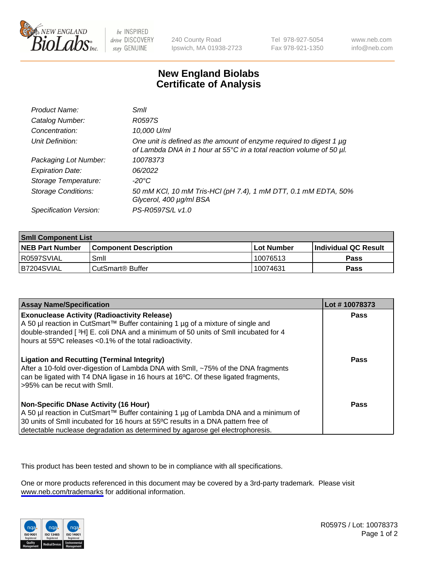

be INSPIRED drive DISCOVERY stay GENUINE

240 County Road Ipswich, MA 01938-2723 Tel 978-927-5054 Fax 978-921-1350

www.neb.com info@neb.com

## **New England Biolabs Certificate of Analysis**

| Product Name:              | Smll                                                                                                                                        |
|----------------------------|---------------------------------------------------------------------------------------------------------------------------------------------|
| Catalog Number:            | R0597S                                                                                                                                      |
| Concentration:             | 10,000 U/ml                                                                                                                                 |
| Unit Definition:           | One unit is defined as the amount of enzyme required to digest 1 µg<br>of Lambda DNA in 1 hour at 55°C in a total reaction volume of 50 µl. |
| Packaging Lot Number:      | 10078373                                                                                                                                    |
| <b>Expiration Date:</b>    | 06/2022                                                                                                                                     |
| Storage Temperature:       | -20°C                                                                                                                                       |
| <b>Storage Conditions:</b> | 50 mM KCl, 10 mM Tris-HCl (pH 7.4), 1 mM DTT, 0.1 mM EDTA, 50%<br>Glycerol, 400 µg/ml BSA                                                   |
| Specification Version:     | PS-R0597S/L v1.0                                                                                                                            |

| <b>Smil Component List</b> |                               |              |                       |  |
|----------------------------|-------------------------------|--------------|-----------------------|--|
| <b>NEB Part Number</b>     | <b>Component Description</b>  | l Lot Number | ∣Individual QC Result |  |
| R0597SVIAL                 | Smil                          | 10076513     | Pass                  |  |
| B7204SVIAL                 | <sup>l</sup> CutSmart® Buffer | 10074631     | Pass                  |  |

| <b>Assay Name/Specification</b>                                                                                                                                                                                                                                                                          | Lot #10078373 |
|----------------------------------------------------------------------------------------------------------------------------------------------------------------------------------------------------------------------------------------------------------------------------------------------------------|---------------|
| <b>Exonuclease Activity (Radioactivity Release)</b><br>A 50 µl reaction in CutSmart™ Buffer containing 1 µg of a mixture of single and<br>double-stranded [3H] E. coli DNA and a minimum of 50 units of SmII incubated for 4<br>hours at 55°C releases <0.1% of the total radioactivity.                 | Pass          |
| <b>Ligation and Recutting (Terminal Integrity)</b><br>After a 10-fold over-digestion of Lambda DNA with Smll, ~75% of the DNA fragments<br>can be ligated with T4 DNA ligase in 16 hours at 16°C. Of these ligated fragments,<br>>95% can be recut with Smll.                                            | Pass          |
| <b>Non-Specific DNase Activity (16 Hour)</b><br>A 50 µl reaction in CutSmart™ Buffer containing 1 µg of Lambda DNA and a minimum of<br>30 units of Smll incubated for 16 hours at 55°C results in a DNA pattern free of<br>detectable nuclease degradation as determined by agarose gel electrophoresis. | <b>Pass</b>   |

This product has been tested and shown to be in compliance with all specifications.

One or more products referenced in this document may be covered by a 3rd-party trademark. Please visit <www.neb.com/trademarks>for additional information.